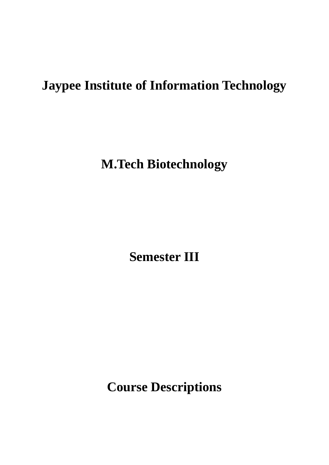# **Jaypee Institute of Information Technology**

**M.Tech Biotechnology**

**Semester III**

**Course Descriptions**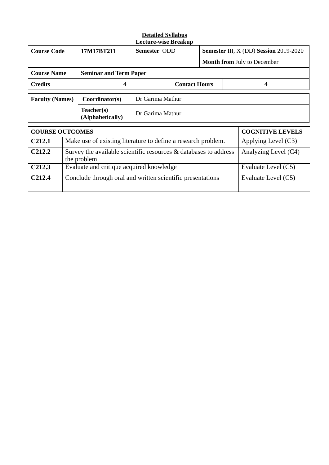| <b>Course Code</b>     |                                                                                   | 17M17BT211                                                    | Semester ODD                  |                         |                       |                      | <b>Semester III, X (DD) Session 2019-2020</b> |  |
|------------------------|-----------------------------------------------------------------------------------|---------------------------------------------------------------|-------------------------------|-------------------------|-----------------------|----------------------|-----------------------------------------------|--|
|                        |                                                                                   |                                                               |                               |                         |                       |                      | <b>Month from July to December</b>            |  |
| <b>Course Name</b>     |                                                                                   |                                                               | <b>Seminar and Term Paper</b> |                         |                       |                      |                                               |  |
| <b>Credits</b>         |                                                                                   | 4                                                             | <b>Contact Hours</b>          |                         | 4                     |                      |                                               |  |
| <b>Faculty (Names)</b> |                                                                                   | Coordinator(s)                                                | Dr Garima Mathur              |                         |                       |                      |                                               |  |
|                        |                                                                                   | Teacher(s)<br>(Alphabetically)                                | Dr Garima Mathur              |                         |                       |                      |                                               |  |
| <b>COURSE OUTCOMES</b> |                                                                                   |                                                               |                               | <b>COGNITIVE LEVELS</b> |                       |                      |                                               |  |
| C <sub>212.1</sub>     |                                                                                   | Make use of existing literature to define a research problem. |                               |                         | Applying Level $(C3)$ |                      |                                               |  |
| C <sub>212.2</sub>     | Survey the available scientific resources & databases to address<br>the problem   |                                                               |                               |                         |                       | Analyzing Level (C4) |                                               |  |
| C <sub>212.3</sub>     |                                                                                   | Evaluate and critique acquired knowledge                      |                               |                         |                       | Evaluate Level (C5)  |                                               |  |
| C <sub>212.4</sub>     | Conclude through oral and written scientific presentations<br>Evaluate Level (C5) |                                                               |                               |                         |                       |                      |                                               |  |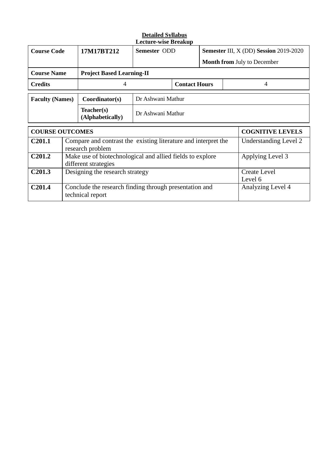| <b>Course Code</b>                     |                      | 17M17BT212                                                                 | Semester ODD                                                   |  | Semester III, X (DD) Session 2019-2020 |                         |                                    |
|----------------------------------------|----------------------|----------------------------------------------------------------------------|----------------------------------------------------------------|--|----------------------------------------|-------------------------|------------------------------------|
|                                        |                      |                                                                            |                                                                |  |                                        |                         | <b>Month from July to December</b> |
| <b>Course Name</b>                     |                      | <b>Project Based Learning-II</b>                                           |                                                                |  |                                        |                         |                                    |
| <b>Credits</b>                         |                      | 4                                                                          | <b>Contact Hours</b>                                           |  |                                        |                         | 4                                  |
| <b>Faculty (Names)</b>                 |                      | Coordinator(s)                                                             | Dr Ashwani Mathur                                              |  |                                        |                         |                                    |
|                                        |                      | Teacher(s)<br>(Alphabetically)                                             | Dr Ashwani Mathur                                              |  |                                        |                         |                                    |
| <b>COURSE OUTCOMES</b>                 |                      |                                                                            |                                                                |  |                                        | <b>COGNITIVE LEVELS</b> |                                    |
| C <sub>201.1</sub><br>research problem |                      |                                                                            | Compare and contrast the existing literature and interpret the |  |                                        | Understanding Level 2   |                                    |
| C <sub>201.2</sub>                     | different strategies |                                                                            | Make use of biotechnological and allied fields to explore      |  |                                        | Applying Level 3        |                                    |
| C <sub>201.3</sub>                     |                      | Designing the research strategy<br>Level 6                                 |                                                                |  |                                        | <b>Create Level</b>     |                                    |
| C <sub>201.4</sub>                     |                      | Conclude the research finding through presentation and<br>technical report |                                                                |  | Analyzing Level 4                      |                         |                                    |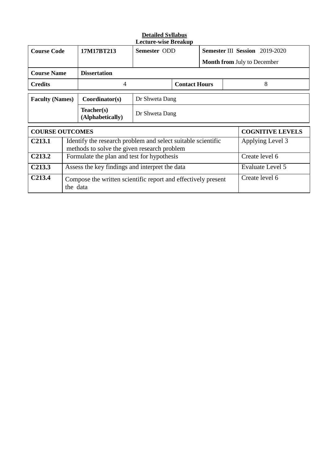| <b>Course Code</b>                                                    |                                            | 17M17BT213                                                    | Semester ODD                                                 |                | <b>Semester III Session</b> 2019-2020 |                         |                                    |
|-----------------------------------------------------------------------|--------------------------------------------|---------------------------------------------------------------|--------------------------------------------------------------|----------------|---------------------------------------|-------------------------|------------------------------------|
|                                                                       |                                            |                                                               |                                                              |                |                                       |                         | <b>Month from July to December</b> |
| <b>Course Name</b>                                                    |                                            | <b>Dissertation</b>                                           |                                                              |                |                                       |                         |                                    |
| <b>Credits</b>                                                        |                                            | 4                                                             | <b>Contact Hours</b>                                         |                | 8                                     |                         |                                    |
| <b>Faculty (Names)</b>                                                |                                            | Coordinator(s)                                                | Dr Shweta Dang                                               |                |                                       |                         |                                    |
|                                                                       |                                            | Teacher(s)<br>(Alphabetically)                                | Dr Shweta Dang                                               |                |                                       |                         |                                    |
| <b>COURSE OUTCOMES</b>                                                |                                            |                                                               |                                                              |                |                                       | <b>COGNITIVE LEVELS</b> |                                    |
| C <sub>2</sub> 13.1<br>methods to solve the given research problem    |                                            |                                                               | Identify the research problem and select suitable scientific |                |                                       | Applying Level 3        |                                    |
| C <sub>213.2</sub>                                                    | Formulate the plan and test for hypothesis |                                                               |                                                              |                |                                       |                         | Create level 6                     |
| C <sub>2</sub> 13.3<br>Assess the key findings and interpret the data |                                            |                                                               |                                                              |                | Evaluate Level 5                      |                         |                                    |
| C <sub>213.4</sub><br>the data                                        |                                            | Compose the written scientific report and effectively present |                                                              | Create level 6 |                                       |                         |                                    |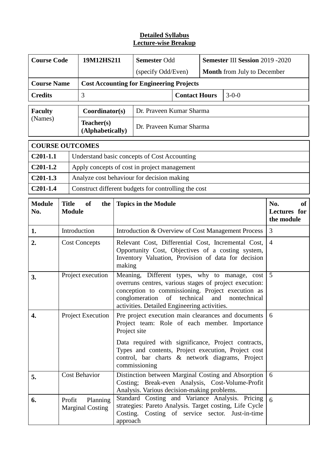| <b>Course Code</b>        |                               | 19M12HS211                          |                                                                                                                                                                           | <b>Semester Odd</b>                                                                                                                                                                                                                                                                    | <b>Semester III Session 2019 -2020</b>                                                                                                                                                                        |              |                                         |  |  |  |
|---------------------------|-------------------------------|-------------------------------------|---------------------------------------------------------------------------------------------------------------------------------------------------------------------------|----------------------------------------------------------------------------------------------------------------------------------------------------------------------------------------------------------------------------------------------------------------------------------------|---------------------------------------------------------------------------------------------------------------------------------------------------------------------------------------------------------------|--------------|-----------------------------------------|--|--|--|
|                           |                               |                                     |                                                                                                                                                                           | (specify Odd/Even)                                                                                                                                                                                                                                                                     | <b>Month</b> from July to December                                                                                                                                                                            |              |                                         |  |  |  |
| <b>Course Name</b>        |                               |                                     | <b>Cost Accounting for Engineering Projects</b>                                                                                                                           |                                                                                                                                                                                                                                                                                        |                                                                                                                                                                                                               |              |                                         |  |  |  |
| <b>Credits</b>            |                               | $\overline{3}$                      |                                                                                                                                                                           |                                                                                                                                                                                                                                                                                        |                                                                                                                                                                                                               |              |                                         |  |  |  |
| <b>Faculty</b><br>(Names) |                               | Coordinator(s)                      |                                                                                                                                                                           | Dr. Praveen Kumar Sharma                                                                                                                                                                                                                                                               |                                                                                                                                                                                                               |              |                                         |  |  |  |
|                           |                               | Teacher(s)<br>(Alphabetically)      |                                                                                                                                                                           | Dr. Praveen Kumar Sharma                                                                                                                                                                                                                                                               |                                                                                                                                                                                                               |              |                                         |  |  |  |
| <b>COURSE OUTCOMES</b>    |                               |                                     |                                                                                                                                                                           |                                                                                                                                                                                                                                                                                        |                                                                                                                                                                                                               |              |                                         |  |  |  |
| $C201-1.1$                |                               |                                     |                                                                                                                                                                           | Understand basic concepts of Cost Accounting                                                                                                                                                                                                                                           |                                                                                                                                                                                                               |              |                                         |  |  |  |
| $C201-1.2$                |                               |                                     |                                                                                                                                                                           | Apply concepts of cost in project management                                                                                                                                                                                                                                           |                                                                                                                                                                                                               |              |                                         |  |  |  |
| $C201-1.3$                |                               |                                     |                                                                                                                                                                           | Analyze cost behaviour for decision making                                                                                                                                                                                                                                             |                                                                                                                                                                                                               |              |                                         |  |  |  |
| $C201-1.4$                |                               |                                     |                                                                                                                                                                           | Construct different budgets for controlling the cost                                                                                                                                                                                                                                   |                                                                                                                                                                                                               |              |                                         |  |  |  |
| <b>Module</b><br>No.      | <b>Title</b><br><b>Module</b> | of<br>the                           |                                                                                                                                                                           | <b>Topics in the Module</b>                                                                                                                                                                                                                                                            |                                                                                                                                                                                                               |              | No.<br>оf<br>Lectures for<br>the module |  |  |  |
| 1.                        |                               | Introduction                        | Introduction & Overview of Cost Management Process                                                                                                                        |                                                                                                                                                                                                                                                                                        |                                                                                                                                                                                                               |              | 3                                       |  |  |  |
| 2.                        |                               | <b>Cost Concepts</b>                | Relevant Cost, Differential Cost, Incremental Cost,<br>Opportunity Cost, Objectives of a costing system,<br>Inventory Valuation, Provision of data for decision<br>making | $\overline{4}$                                                                                                                                                                                                                                                                         |                                                                                                                                                                                                               |              |                                         |  |  |  |
| 3.                        |                               | Project execution                   |                                                                                                                                                                           | Meaning, Different types, why to manage, cost<br>overruns centres, various stages of project execution:<br>conception to commissioning. Project execution as<br>of technical<br>conglomeration<br>activities. Detailed Engineering activities.                                         | and                                                                                                                                                                                                           | nontechnical | 5                                       |  |  |  |
| 4.                        | Project Execution             |                                     | Project site                                                                                                                                                              | Pre project execution main clearances and documents<br>Project team: Role of each member. Importance<br>Data required with significance, Project contracts,<br>Types and contents, Project execution, Project cost<br>control, bar charts & network diagrams, Project<br>commissioning | 6                                                                                                                                                                                                             |              |                                         |  |  |  |
| 5.                        |                               | <b>Cost Behavior</b>                |                                                                                                                                                                           | Distinction between Marginal Costing and Absorption<br>Costing; Break-even Analysis, Cost-Volume-Profit                                                                                                                                                                                | 6                                                                                                                                                                                                             |              |                                         |  |  |  |
| 6.                        | Profit                        | Planning<br><b>Marginal Costing</b> | approach                                                                                                                                                                  |                                                                                                                                                                                                                                                                                        | Analysis. Various decision-making problems.<br>Standard Costing and Variance Analysis. Pricing<br>strategies: Pareto Analysis. Target costing, Life Cycle<br>Costing. Costing of service sector. Just-in-time |              |                                         |  |  |  |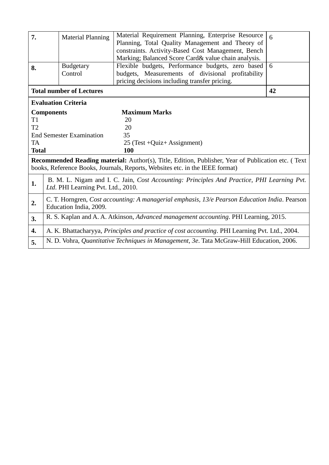| 7.           | <b>Material Planning</b>                                                                                                                                                                  | Material Requirement Planning, Enterprise Resource<br>Planning, Total Quality Management and Theory of<br>constraints. Activity-Based Cost Management, Bench<br>Marking; Balanced Score Card& value chain analysis. | 6  |  |  |  |  |
|--------------|-------------------------------------------------------------------------------------------------------------------------------------------------------------------------------------------|---------------------------------------------------------------------------------------------------------------------------------------------------------------------------------------------------------------------|----|--|--|--|--|
| 8.           | <b>Budgetary</b><br>Control                                                                                                                                                               | Flexible budgets, Performance budgets, zero based<br>budgets, Measurements of divisional profitability<br>pricing decisions including transfer pricing.                                                             | 6  |  |  |  |  |
|              | <b>Total number of Lectures</b>                                                                                                                                                           |                                                                                                                                                                                                                     | 42 |  |  |  |  |
|              | <b>Evaluation Criteria</b>                                                                                                                                                                |                                                                                                                                                                                                                     |    |  |  |  |  |
|              | <b>Components</b>                                                                                                                                                                         | <b>Maximum Marks</b>                                                                                                                                                                                                |    |  |  |  |  |
| T1           |                                                                                                                                                                                           | 20                                                                                                                                                                                                                  |    |  |  |  |  |
| T2           |                                                                                                                                                                                           | 20                                                                                                                                                                                                                  |    |  |  |  |  |
|              | <b>End Semester Examination</b>                                                                                                                                                           | 35                                                                                                                                                                                                                  |    |  |  |  |  |
| <b>TA</b>    |                                                                                                                                                                                           | $25$ (Test +Quiz+ Assignment)                                                                                                                                                                                       |    |  |  |  |  |
| <b>Total</b> |                                                                                                                                                                                           | 100                                                                                                                                                                                                                 |    |  |  |  |  |
|              | <b>Recommended Reading material:</b> Author(s), Title, Edition, Publisher, Year of Publication etc. (Text<br>books, Reference Books, Journals, Reports, Websites etc. in the IEEE format) |                                                                                                                                                                                                                     |    |  |  |  |  |
| 1.           | Ltd. PHI Learning Pvt. Ltd., 2010.                                                                                                                                                        | B. M. L. Nigam and I. C. Jain, Cost Accounting: Principles And Practice, PHI Learning Pvt.                                                                                                                          |    |  |  |  |  |
| 2.           | C. T. Horngren, Cost accounting: A managerial emphasis, 13/e Pearson Education India. Pearson<br>Education India, 2009.                                                                   |                                                                                                                                                                                                                     |    |  |  |  |  |
| 3.           | R. S. Kaplan and A. A. Atkinson, Advanced management accounting. PHI Learning, 2015.                                                                                                      |                                                                                                                                                                                                                     |    |  |  |  |  |
| 4.           | A. K. Bhattacharyya, Principles and practice of cost accounting. PHI Learning Pvt. Ltd., 2004.                                                                                            |                                                                                                                                                                                                                     |    |  |  |  |  |
| 5.           | N. D. Vohra, Quantitative Techniques in Management, 3e. Tata McGraw-Hill Education, 2006.                                                                                                 |                                                                                                                                                                                                                     |    |  |  |  |  |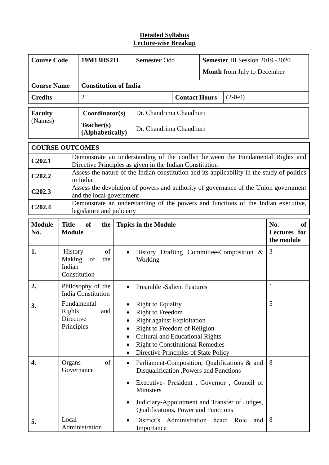| <b>Course Code</b>                                                   |                                                                                                                | 19M13HS211                   |                                                  | <b>Semester Odd</b>                                                                                                                                                                                                                                                     |                                    | <b>Semester III Session 2019 -2020</b> |                                                |  |  |
|----------------------------------------------------------------------|----------------------------------------------------------------------------------------------------------------|------------------------------|--------------------------------------------------|-------------------------------------------------------------------------------------------------------------------------------------------------------------------------------------------------------------------------------------------------------------------------|------------------------------------|----------------------------------------|------------------------------------------------|--|--|
|                                                                      |                                                                                                                |                              |                                                  |                                                                                                                                                                                                                                                                         | <b>Month</b> from July to December |                                        |                                                |  |  |
| <b>Course Name</b>                                                   |                                                                                                                | <b>Constitution of India</b> |                                                  |                                                                                                                                                                                                                                                                         |                                    |                                        |                                                |  |  |
| <b>Credits</b>                                                       |                                                                                                                | $\overline{2}$               |                                                  | <b>Contact Hours</b>                                                                                                                                                                                                                                                    |                                    | $(2-0-0)$                              |                                                |  |  |
| <b>Faculty</b>                                                       |                                                                                                                | Coordinator(s)               | Dr. Chandrima Chaudhuri                          |                                                                                                                                                                                                                                                                         |                                    |                                        |                                                |  |  |
| (Names)<br>Teacher(s)<br>Dr. Chandrima Chaudhuri<br>(Alphabetically) |                                                                                                                |                              |                                                  |                                                                                                                                                                                                                                                                         |                                    |                                        |                                                |  |  |
| <b>COURSE OUTCOMES</b>                                               |                                                                                                                |                              |                                                  |                                                                                                                                                                                                                                                                         |                                    |                                        |                                                |  |  |
| C202.1                                                               |                                                                                                                |                              |                                                  | Demonstrate an understanding of the conflict between the Fundamental Rights and<br>Directive Principles as given in the Indian Constitution                                                                                                                             |                                    |                                        |                                                |  |  |
| C <sub>2</sub> 02.2                                                  |                                                                                                                | in India.                    |                                                  | Assess the nature of the Indian constitution and its applicability in the study of politics                                                                                                                                                                             |                                    |                                        |                                                |  |  |
| C <sub>202.3</sub>                                                   |                                                                                                                | and the local government     |                                                  | Assess the devolution of powers and authority of governance of the Union government                                                                                                                                                                                     |                                    |                                        |                                                |  |  |
| C <sub>2</sub> 02.4                                                  | Demonstrate an understanding of the powers and functions of the Indian executive,<br>legislature and judiciary |                              |                                                  |                                                                                                                                                                                                                                                                         |                                    |                                        |                                                |  |  |
| <b>Module</b><br>No.                                                 | <b>Title</b><br><b>Module</b>                                                                                  | <b>of</b><br>the             |                                                  | <b>Topics in the Module</b>                                                                                                                                                                                                                                             |                                    |                                        | No.<br><b>of</b><br>Lectures for<br>the module |  |  |
| 1.                                                                   | <b>History</b><br>of<br>$\bullet$<br>Making<br>of<br>the<br>Indian<br>Constitution                             |                              |                                                  | History Drafting Committee-Composition &<br>Working                                                                                                                                                                                                                     | 3                                  |                                        |                                                |  |  |
| 2.                                                                   | Philosophy of the<br><b>India Constitution</b>                                                                 |                              | <b>Preamble -Salient Features</b>                |                                                                                                                                                                                                                                                                         |                                    | 1                                      |                                                |  |  |
| 3.                                                                   | Fundamental<br>Rights<br>and<br>Directive<br>Principles                                                        |                              | ٠<br>$\bullet$<br>$\bullet$                      | <b>Right to Equality</b><br><b>Right to Freedom</b><br><b>Right against Exploitation</b><br>Right to Freedom of Religion<br><b>Cultural and Educational Rights</b><br><b>Right to Constitutional Remedies</b><br>Directive Principles of State Policy                   | 5                                  |                                        |                                                |  |  |
| 4.                                                                   | Organs<br>Local                                                                                                | of<br>Governance             | $\bullet$<br>$\bullet$<br>$\bullet$<br>$\bullet$ | Parliament-Composition, Qualifications & and<br>Disqualification , Powers and Functions<br>Executive- President, Governor, Council of<br>Ministers<br>Judiciary-Appointment and Transfer of Judges,<br>Qualifications, Power and Functions<br>District's Administration | head:                              | Role<br>and                            | 8<br>8                                         |  |  |
| 5.                                                                   |                                                                                                                | Administration               |                                                  | Importance                                                                                                                                                                                                                                                              |                                    |                                        |                                                |  |  |